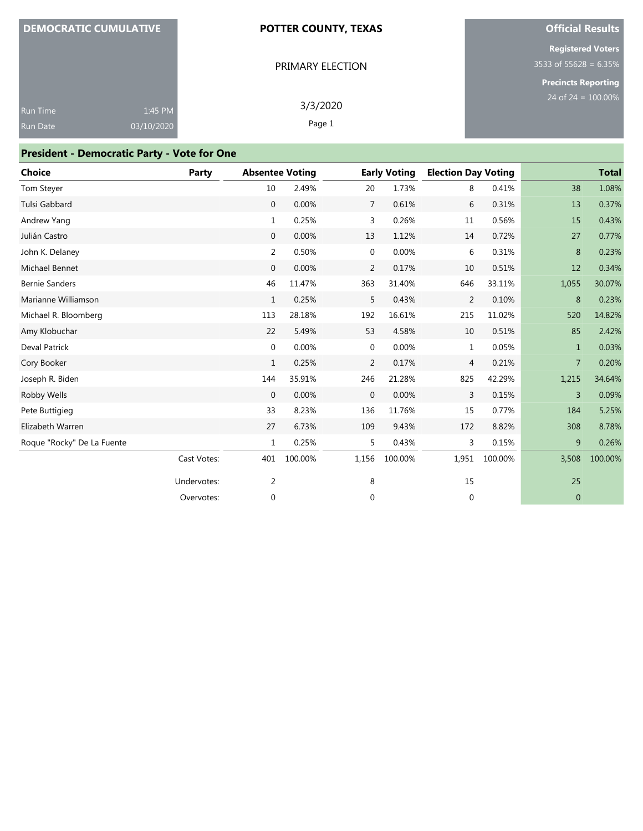|  | <b>DEMOCRATIC CUMULATIVE</b> |
|--|------------------------------|
|  |                              |

#### **POTTER COUNTY, TEXAS**

PRIMARY ELECTION

## **Official Results**

**Registered Voters** 3533 of 55628 = 6.35%

**Precincts Reporting**

| <b>Run Time</b> | $1:45$ PM  | 3/3/2020 |
|-----------------|------------|----------|
| Run Date        | 03/10/2020 | Page 1   |
|                 |            |          |

## **President - Democratic Party - Vote for One**

| <b>Choice</b>              | Party       | <b>Absentee Voting</b> |         |              | <b>Early Voting</b> | <b>Election Day Voting</b> |         |                | <b>Total</b> |
|----------------------------|-------------|------------------------|---------|--------------|---------------------|----------------------------|---------|----------------|--------------|
| Tom Steyer                 |             | 10                     | 2.49%   | 20           | 1.73%               | 8                          | 0.41%   | 38             | 1.08%        |
| Tulsi Gabbard              |             | $\mathbf 0$            | 0.00%   | 7            | 0.61%               | 6                          | 0.31%   | 13             | 0.37%        |
| Andrew Yang                |             | 1                      | 0.25%   | 3            | 0.26%               | 11                         | 0.56%   | 15             | 0.43%        |
| Julián Castro              |             | $\mathbf 0$            | 0.00%   | 13           | 1.12%               | 14                         | 0.72%   | 27             | 0.77%        |
| John K. Delaney            |             | 2                      | 0.50%   | $\mathbf 0$  | 0.00%               | 6                          | 0.31%   | 8              | 0.23%        |
| Michael Bennet             |             | $\mathbf 0$            | 0.00%   | 2            | 0.17%               | 10                         | 0.51%   | 12             | 0.34%        |
| <b>Bernie Sanders</b>      |             | 46                     | 11.47%  | 363          | 31.40%              | 646                        | 33.11%  | 1,055          | 30.07%       |
| Marianne Williamson        |             | $\mathbf{1}$           | 0.25%   | 5            | 0.43%               | $\overline{2}$             | 0.10%   | 8              | 0.23%        |
| Michael R. Bloomberg       |             | 113                    | 28.18%  | 192          | 16.61%              | 215                        | 11.02%  | 520            | 14.82%       |
| Amy Klobuchar              |             | 22                     | 5.49%   | 53           | 4.58%               | 10                         | 0.51%   | 85             | 2.42%        |
| <b>Deval Patrick</b>       |             | 0                      | 0.00%   | $\mathbf 0$  | 0.00%               | $\mathbf{1}$               | 0.05%   | $\mathbf{1}$   | 0.03%        |
| Cory Booker                |             | $\mathbf{1}$           | 0.25%   | 2            | 0.17%               | $\overline{4}$             | 0.21%   | 7              | 0.20%        |
| Joseph R. Biden            |             | 144                    | 35.91%  | 246          | 21.28%              | 825                        | 42.29%  | 1,215          | 34.64%       |
| Robby Wells                |             | $\mathbf{0}$           | 0.00%   | $\mathbf{0}$ | 0.00%               | 3                          | 0.15%   | $\overline{3}$ | 0.09%        |
| Pete Buttigieg             |             | 33                     | 8.23%   | 136          | 11.76%              | 15                         | 0.77%   | 184            | 5.25%        |
| Elizabeth Warren           |             | 27                     | 6.73%   | 109          | 9.43%               | 172                        | 8.82%   | 308            | 8.78%        |
| Roque "Rocky" De La Fuente |             | $\mathbf{1}$           | 0.25%   | 5            | 0.43%               | 3                          | 0.15%   | 9              | 0.26%        |
|                            | Cast Votes: | 401                    | 100.00% | 1,156        | 100.00%             | 1,951                      | 100.00% | 3,508          | 100.00%      |
|                            | Undervotes: | $\overline{2}$         |         | 8            |                     | 15                         |         | 25             |              |
|                            | Overvotes:  | 0                      |         | 0            |                     | 0                          |         | $\mathbf{0}$   |              |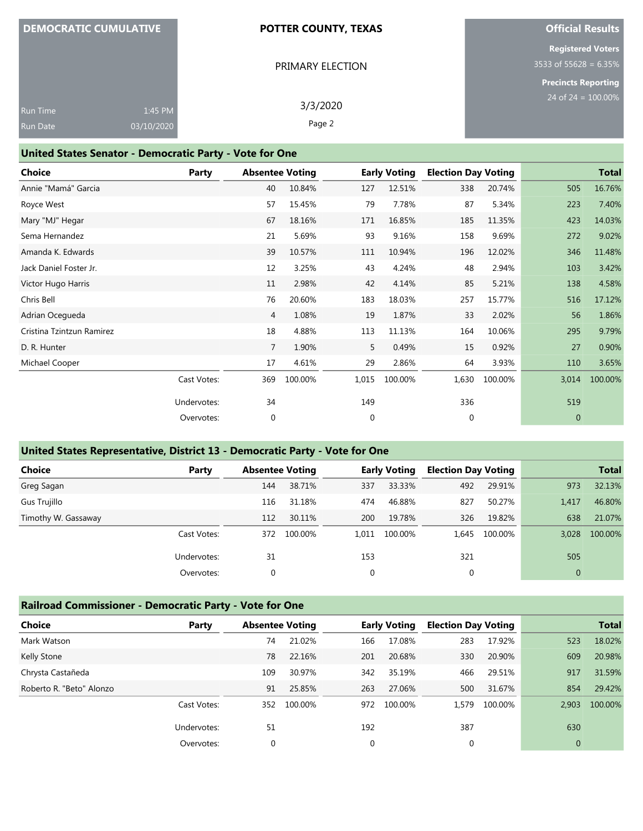## **DEMOCRATIC CUMULATIVE**

#### **POTTER COUNTY, TEXAS**

PRIMARY ELECTION

## **Official Results**

**Registered Voters** 3533 of 55628 = 6.35%

**Precincts Reporting** 100.00%

|                 |          |          | <b>Precincts Re</b>             |
|-----------------|----------|----------|---------------------------------|
|                 |          | 3/3/2020 | $24$ of $24 =$                  |
|                 |          |          |                                 |
| <b>Run Date</b> |          |          |                                 |
|                 | Run Time |          | 1:45 PM<br>Page 2<br>03/10/2020 |

#### **United States Senator - Democratic Party - Vote for One**

| <b>Choice</b>             | Party       | <b>Absentee Voting</b> |         |              | <b>Early Voting</b> | <b>Election Day Voting</b> |         |              | <b>Total</b> |
|---------------------------|-------------|------------------------|---------|--------------|---------------------|----------------------------|---------|--------------|--------------|
| Annie "Mamá" Garcia       |             | 40                     | 10.84%  | 127          | 12.51%              | 338                        | 20.74%  | 505          | 16.76%       |
| Royce West                |             | 57                     | 15.45%  | 79           | 7.78%               | 87                         | 5.34%   | 223          | 7.40%        |
| Mary "MJ" Hegar           |             | 67                     | 18.16%  | 171          | 16.85%              | 185                        | 11.35%  | 423          | 14.03%       |
| Sema Hernandez            |             | 21                     | 5.69%   | 93           | 9.16%               | 158                        | 9.69%   | 272          | 9.02%        |
| Amanda K. Edwards         |             | 39                     | 10.57%  | 111          | 10.94%              | 196                        | 12.02%  | 346          | 11.48%       |
| Jack Daniel Foster Jr.    |             | 12                     | 3.25%   | 43           | 4.24%               | 48                         | 2.94%   | 103          | 3.42%        |
| Victor Hugo Harris        |             | 11                     | 2.98%   | 42           | 4.14%               | 85                         | 5.21%   | 138          | 4.58%        |
| Chris Bell                |             | 76                     | 20.60%  | 183          | 18.03%              | 257                        | 15.77%  | 516          | 17.12%       |
| Adrian Ocegueda           |             | $\overline{4}$         | 1.08%   | 19           | 1.87%               | 33                         | 2.02%   | 56           | 1.86%        |
| Cristina Tzintzun Ramirez |             | 18                     | 4.88%   | 113          | 11.13%              | 164                        | 10.06%  | 295          | 9.79%        |
| D. R. Hunter              |             | 7                      | 1.90%   | 5            | 0.49%               | 15                         | 0.92%   | 27           | 0.90%        |
| Michael Cooper            |             | 17                     | 4.61%   | 29           | 2.86%               | 64                         | 3.93%   | 110          | 3.65%        |
|                           | Cast Votes: | 369                    | 100.00% | 1,015        | 100.00%             | 1,630                      | 100.00% | 3,014        | 100.00%      |
|                           | Undervotes: | 34                     |         | 149          |                     | 336                        |         | 519          |              |
|                           | Overvotes:  | $\mathbf{0}$           |         | $\mathbf{0}$ |                     | $\mathbf{0}$               |         | $\mathbf{0}$ |              |

## **United States Representative, District 13 - Democratic Party - Vote for One**

| <b>Choice</b>       | Party       |              | <b>Absentee Voting</b> |             | <b>Early Voting</b> | <b>Election Day Voting</b> |         | <b>Total</b> |         |
|---------------------|-------------|--------------|------------------------|-------------|---------------------|----------------------------|---------|--------------|---------|
| Greg Sagan          |             | 144          | 38.71%                 | 337         | 33.33%              | 492                        | 29.91%  | 973          | 32.13%  |
| Gus Trujillo        |             | 116          | 31.18%                 | 474         | 46.88%              | 827                        | 50.27%  | 1,417        | 46.80%  |
| Timothy W. Gassaway |             | 112          | 30.11%                 | 200         | 19.78%              | 326                        | 19.82%  | 638          | 21.07%  |
|                     | Cast Votes: | 372          | 100.00%                | 1.011       | 100.00%             | 1.645                      | 100.00% | 3,028        | 100.00% |
|                     | Undervotes: | 31           |                        | 153         |                     | 321                        |         | 505          |         |
|                     | Overvotes:  | $\mathbf{0}$ |                        | $\mathbf 0$ |                     | 0                          |         | $\mathbf{0}$ |         |

#### **Railroad Commissioner - Democratic Party - Vote for One**

| <b>Choice</b>            | Party       |          | <b>Absentee Voting</b> |             | <b>Early Voting</b> |             | <b>Election Day Voting</b> |              | <b>Total</b> |
|--------------------------|-------------|----------|------------------------|-------------|---------------------|-------------|----------------------------|--------------|--------------|
| Mark Watson              |             | 74       | 21.02%                 | 166         | 17.08%              | 283         | 17.92%                     | 523          | 18.02%       |
| Kelly Stone              |             | 78       | 22.16%                 | 201         | 20.68%              | 330         | 20.90%                     | 609          | 20.98%       |
| Chrysta Castañeda        |             | 109      | 30.97%                 | 342         | 35.19%              | 466         | 29.51%                     | 917          | 31.59%       |
| Roberto R. "Beto" Alonzo |             | 91       | 25.85%                 | 263         | 27.06%              | 500         | 31.67%                     | 854          | 29.42%       |
|                          | Cast Votes: | 352      | 100.00%                | 972         | 100.00%             | 1,579       | 100.00%                    | 2,903        | 100.00%      |
|                          | Undervotes: | 51       |                        | 192         |                     | 387         |                            | 630          |              |
|                          | Overvotes:  | $\Omega$ |                        | $\mathbf 0$ |                     | $\mathbf 0$ |                            | $\mathbf{0}$ |              |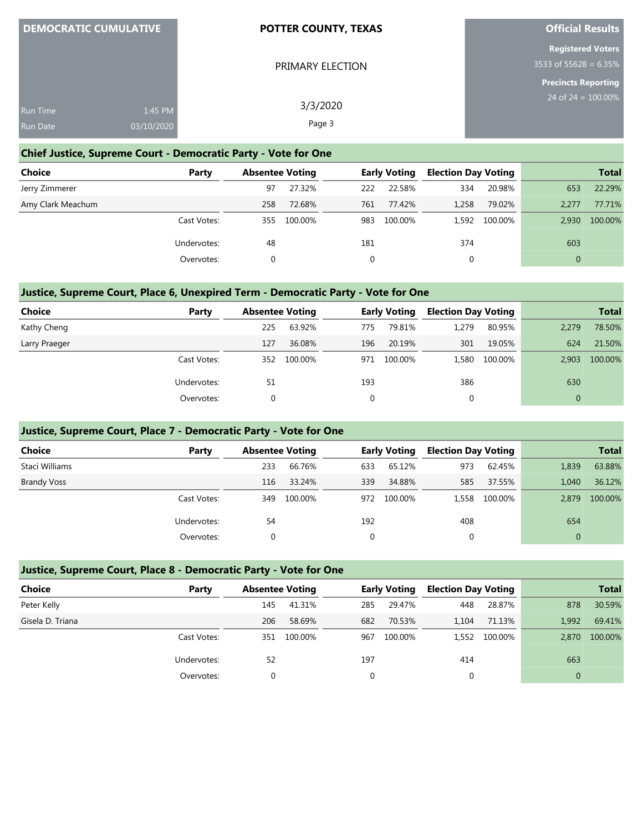| <b>DEMOCRATIC CUMULATIVE</b>  | <b>POTTER COUNTY, TEXAS</b> | <b>Official Results</b>    |
|-------------------------------|-----------------------------|----------------------------|
|                               |                             | <b>Registered Voters</b>   |
|                               | PRIMARY ELECTION            | 3533 of 55628 = 6.35%      |
|                               |                             | <b>Precincts Reporting</b> |
| 1:45 PM<br><b>Run Time</b>    | 3/3/2020                    | 24 of $24 = 100.00\%$      |
| 03/10/2020<br><b>Run Date</b> | Page 3                      |                            |

## **Chief Justice, Supreme Court - Democratic Party - Vote for One**

| <b>Choice</b>     | Party       | <b>Absentee Voting</b> |         | <b>Early Voting</b> |         | <b>Election Day Voting</b> |         |              | <b>Total</b> |
|-------------------|-------------|------------------------|---------|---------------------|---------|----------------------------|---------|--------------|--------------|
| Jerry Zimmerer    |             | 97                     | 27.32%  | 222                 | 22.58%  | 334                        | 20.98%  | 653          | 22.29%       |
| Amy Clark Meachum |             | 258                    | 72.68%  | 761                 | 77.42%  | 1,258                      | 79.02%  | 2.277        | 77.71%       |
|                   | Cast Votes: | 355                    | 100.00% | 983                 | 100.00% | 1,592                      | 100.00% | 2.930        | 100.00%      |
|                   | Undervotes: | 48                     |         | 181                 |         | 374                        |         | 603          |              |
|                   | Overvotes:  |                        |         |                     |         | 0                          |         | $\mathbf{0}$ |              |

#### **Justice, Supreme Court, Place 6, Unexpired Term - Democratic Party - Vote for One**

| <b>Choice</b> | Party       |     | <b>Absentee Voting</b> |     | <b>Early Voting</b> |       | <b>Election Day Voting</b> |              | <b>Total</b> |
|---------------|-------------|-----|------------------------|-----|---------------------|-------|----------------------------|--------------|--------------|
| Kathy Cheng   |             | 225 | 63.92%                 | 775 | 79.81%              | 1.279 | 80.95%                     | 2,279        | 78.50%       |
| Larry Praeger |             | 127 | 36.08%                 | 196 | 20.19%              | 301   | 19.05%                     | 624          | 21.50%       |
|               | Cast Votes: | 352 | 100.00%                | 971 | 100.00%             | 1.580 | 100.00%                    | 2.903        | 100.00%      |
|               | Undervotes: | 51  |                        | 193 |                     | 386   |                            | 630          |              |
|               | Overvotes:  | 0   |                        |     |                     | 0     |                            | $\mathbf{0}$ |              |

## **Justice, Supreme Court, Place 7 - Democratic Party - Vote for One**

| <b>Choice</b>      | Party       |     | <b>Absentee Voting</b> |     | <b>Early Voting</b> |       | <b>Election Day Voting</b> |              | <b>Total</b> |
|--------------------|-------------|-----|------------------------|-----|---------------------|-------|----------------------------|--------------|--------------|
| Staci Williams     |             | 233 | 66.76%                 | 633 | 65.12%              | 973   | 62.45%                     | 1,839        | 63.88%       |
| <b>Brandy Voss</b> |             | 116 | 33.24%                 | 339 | 34.88%              | 585   | 37.55%                     | 1.040        | 36.12%       |
|                    | Cast Votes: | 349 | 100.00%                | 972 | 100.00%             | 1,558 | 100.00%                    | 2.879        | 100.00%      |
|                    | Undervotes: | 54  |                        | 192 |                     | 408   |                            | 654          |              |
|                    | Overvotes:  |     |                        | 0   |                     | 0     |                            | $\mathbf{0}$ |              |

|                  | Justice, Supreme Court, Place 8 - Democratic Party - Vote for One |                        |         |     |                     |                            |         |              |              |  |  |  |
|------------------|-------------------------------------------------------------------|------------------------|---------|-----|---------------------|----------------------------|---------|--------------|--------------|--|--|--|
| <b>Choice</b>    | Party                                                             | <b>Absentee Voting</b> |         |     | <b>Early Voting</b> | <b>Election Day Voting</b> |         |              | <b>Total</b> |  |  |  |
| Peter Kelly      |                                                                   | 145                    | 41.31%  | 285 | 29.47%              | 448                        | 28.87%  | 878          | 30.59%       |  |  |  |
| Gisela D. Triana |                                                                   | 206                    | 58.69%  | 682 | 70.53%              | 1.104                      | 71.13%  | 1.992        | 69.41%       |  |  |  |
|                  | Cast Votes:                                                       | 351                    | 100.00% | 967 | 100.00%             | 1.552                      | 100.00% | 2.870        | 100.00%      |  |  |  |
|                  | Undervotes:                                                       | 52                     |         | 197 |                     | 414                        |         | 663          |              |  |  |  |
|                  | Overvotes:                                                        | 0                      |         |     |                     |                            |         | $\mathbf{0}$ |              |  |  |  |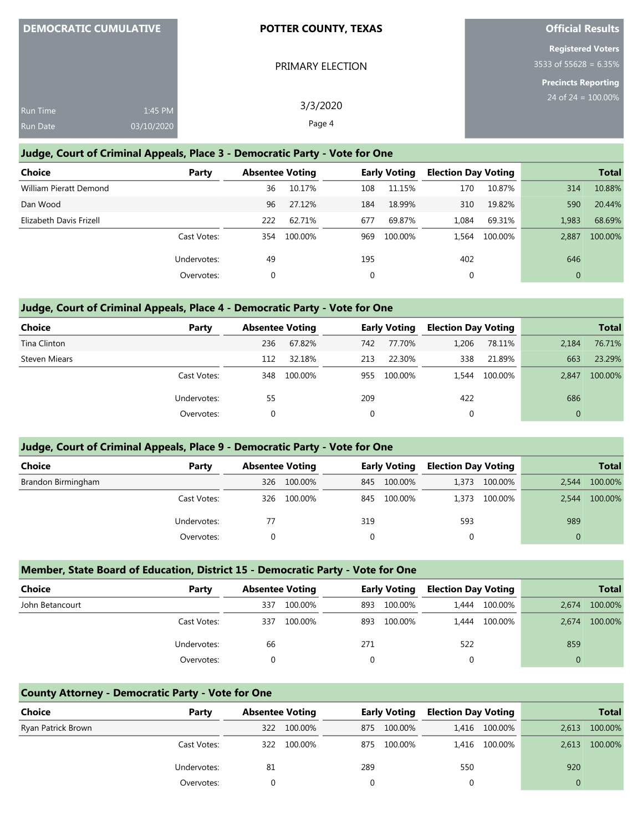|                 | <b>DEMOCRATIC CUMULATIVE</b> | <b>POTTER COUNTY, TEXAS</b> | <b>Official Results</b>    |
|-----------------|------------------------------|-----------------------------|----------------------------|
|                 |                              |                             | <b>Registered Voters</b>   |
|                 |                              | PRIMARY ELECTION            | 3533 of 55628 = $6.35\%$   |
|                 |                              |                             | <b>Precincts Reporting</b> |
| <b>Run Time</b> | 1:45 PM                      | 3/3/2020                    | 24 of 24 = $100.00\%$      |
| Run Date        | 03/10/2020                   | Page 4                      |                            |

#### **Judge, Court of Criminal Appeals, Place 3 - Democratic Party - Vote for One**

| <b>Choice</b>           | Party       | <b>Absentee Voting</b> |         |     | <b>Early Voting</b> | <b>Election Day Voting</b> |         |              | <b>Total</b> |
|-------------------------|-------------|------------------------|---------|-----|---------------------|----------------------------|---------|--------------|--------------|
| William Pieratt Demond  |             | 36                     | 10.17%  | 108 | 11.15%              | 170                        | 10.87%  | 314          | 10.88%       |
| Dan Wood                |             | 96                     | 27.12%  | 184 | 18.99%              | 310                        | 19.82%  | 590          | 20.44%       |
| Elizabeth Davis Frizell |             | 222                    | 62.71%  | 677 | 69.87%              | 1.084                      | 69.31%  | 1,983        | 68.69%       |
|                         | Cast Votes: | 354                    | 100.00% | 969 | 100.00%             | 1.564                      | 100.00% | 2.887        | 100.00%      |
|                         | Undervotes: | 49                     |         | 195 |                     | 402                        |         | 646          |              |
|                         | Overvotes:  | 0                      |         | 0   |                     | 0                          |         | $\mathbf{0}$ |              |

#### **Judge, Court of Criminal Appeals, Place 4 - Democratic Party - Vote for One**

| Choice        | Party       | <b>Absentee Voting</b> |         |     | <b>Early Voting</b> | <b>Election Day Voting</b> |         |              | <b>Total</b> |
|---------------|-------------|------------------------|---------|-----|---------------------|----------------------------|---------|--------------|--------------|
| Tina Clinton  |             | 236                    | 67.82%  | 742 | 77.70%              | 1,206                      | 78.11%  | 2,184        | 76.71%       |
| Steven Miears |             | 112                    | 32.18%  | 213 | 22.30%              | 338                        | 21.89%  | 663          | 23.29%       |
|               | Cast Votes: | 348                    | 100.00% | 955 | 100.00%             | 1.544                      | 100.00% | 2.847        | 100.00%      |
|               | Undervotes: | 55                     |         | 209 |                     | 422                        |         | 686          |              |
|               | Overvotes:  | 0                      |         |     |                     | 0                          |         | $\mathbf{0}$ |              |

#### **Judge, Court of Criminal Appeals, Place 9 - Democratic Party - Vote for One**

| <b>Choice</b>      | Party       | <b>Absentee Voting</b> |         |          | <b>Early Voting</b> | <b>Election Day Voting</b> |               |          | <b>Total</b> |
|--------------------|-------------|------------------------|---------|----------|---------------------|----------------------------|---------------|----------|--------------|
| Brandon Birmingham |             | 326                    | 100.00% | 845      | 100.00%             |                            | 1,373 100.00% | 2.544    | 100.00%      |
|                    | Cast Votes: | 326                    | 100.00% | 845      | 100.00%             | 1.373                      | 100.00%       | 2.544    | 100.00%      |
|                    | Undervotes: | 77                     |         | 319      |                     | 593                        |               | 989      |              |
|                    | Overvotes:  |                        |         | $\Omega$ |                     | 0                          |               | $\Omega$ |              |

#### **Member, State Board of Education, District 15 - Democratic Party - Vote for One**

| <b>Choice</b>   | Party       | <b>Absentee Voting</b> |         | <b>Early Voting</b> |         | <b>Election Day Voting</b> |         |              | <b>Total</b> |
|-----------------|-------------|------------------------|---------|---------------------|---------|----------------------------|---------|--------------|--------------|
| John Betancourt |             | 337                    | 100.00% | 893                 | 100.00% | 1.444                      | 100.00% | 2.674        | 100.00%      |
|                 | Cast Votes: | 337                    | 100.00% | 893                 | 100.00% | 1.444                      | 100.00% | 2.674        | 100.00%      |
|                 | Undervotes: | 66                     |         | 271                 |         | 522                        |         | 859          |              |
|                 | Overvotes:  |                        |         | $\Omega$            |         | 0                          |         | $\mathbf{0}$ |              |

#### **County Attorney - Democratic Party - Vote for One**

| Choice             | Party       | <b>Absentee Voting</b> |         | <b>Early Voting</b> |         | <b>Election Day Voting</b> |               |       | <b>Total</b> |
|--------------------|-------------|------------------------|---------|---------------------|---------|----------------------------|---------------|-------|--------------|
| Ryan Patrick Brown |             | 322                    | 100.00% | 875                 | 100.00% |                            | 1,416 100.00% | 2,613 | 100.00%      |
|                    | Cast Votes: | 322                    | 100.00% | 875                 | 100.00% |                            | 1,416 100.00% | 2,613 | 100.00%      |
|                    | Undervotes: | 81                     |         | 289                 |         | 550                        |               | 920   |              |
|                    | Overvotes:  |                        |         |                     |         |                            |               |       |              |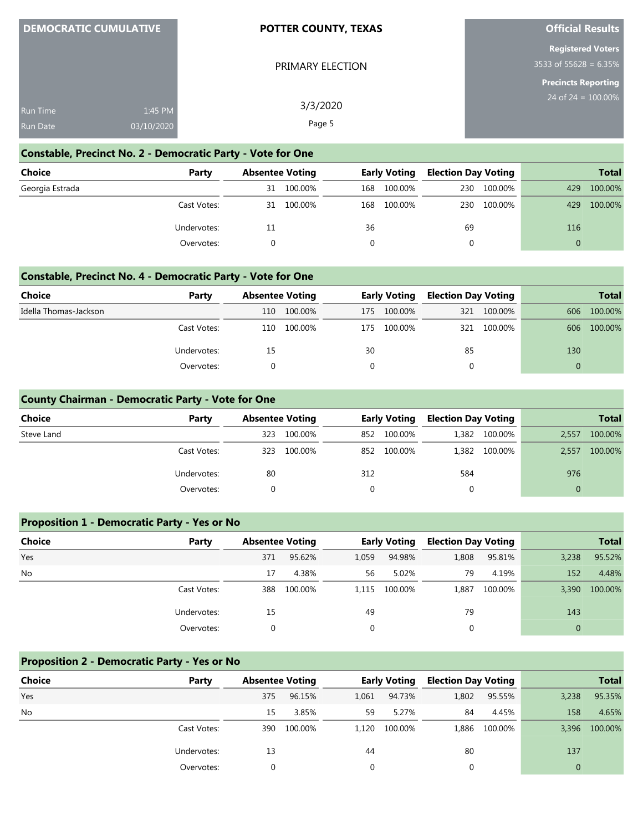| <b>DEMOCRATIC CUMULATIVE</b> |
|------------------------------|
|------------------------------|

#### **POTTER COUNTY, TEXAS**

PRIMARY ELECTION

#### **Official Results**

**Registered Voters** 3533 of 55628 = 6.35%

**Precincts Reporting**

| Run Time | 1:45 PM    | 3/3/2020 |
|----------|------------|----------|
|          |            |          |
| Run Date | 03/10/2020 | Page 5   |

## **Constable, Precinct No. 2 - Democratic Party - Vote for One**

| Choice          | Party       | <b>Absentee Voting</b> |         | <b>Early Voting</b> |         | <b>Election Day Voting</b> |         |          | <b>Total</b> |
|-----------------|-------------|------------------------|---------|---------------------|---------|----------------------------|---------|----------|--------------|
| Georgia Estrada |             | 31                     | 100.00% | 168                 | 100.00% | 230                        | 100.00% | 429      | 100.00%      |
|                 | Cast Votes: | 31                     | 100.00% | 168                 | 100.00% | 230                        | 100.00% | 429      | 100.00%      |
|                 | Undervotes: | 11                     |         | 36                  |         | 69                         |         | 116      |              |
|                 | Overvotes:  |                        |         |                     |         | 0                          |         | $\Omega$ |              |

#### **Constable, Precinct No. 4 - Democratic Party - Vote for One**

| Choice                | Party       | <b>Absentee Voting</b> |         | <b>Early Voting</b> |         | <b>Election Day Voting</b> |             |          | <b>Total</b> |
|-----------------------|-------------|------------------------|---------|---------------------|---------|----------------------------|-------------|----------|--------------|
| Idella Thomas-Jackson |             | 110                    | 100.00% | 175.                | 100.00% | 321                        | 100.00%     | 606      | 100.00%      |
|                       | Cast Votes: | 110                    | 100.00% | 175                 | 100.00% |                            | 321 100.00% | 606      | 100.00%      |
|                       | Undervotes: | 15                     |         | 30                  |         | 85                         |             | 130      |              |
|                       | Overvotes:  |                        |         |                     |         |                            |             | $\Omega$ |              |

#### **County Chairman - Democratic Party - Vote for One**

| <b>Choice</b> | Party       | <b>Absentee Voting</b> |         |     | <b>Early Voting</b> | <b>Election Day Voting</b> |               |              | <b>Total</b> |
|---------------|-------------|------------------------|---------|-----|---------------------|----------------------------|---------------|--------------|--------------|
| Steve Land    |             | 323                    | 100.00% | 852 | 100.00%             |                            | 1,382 100.00% | 2,557        | 100.00%      |
|               | Cast Votes: | 323                    | 100.00% | 852 | 100.00%             |                            | 1,382 100.00% | 2,557        | 100.00%      |
|               | Undervotes: | 80                     |         | 312 |                     | 584                        |               | 976          |              |
|               | Overvotes:  |                        |         | 0   |                     | 0                          |               | $\mathbf{0}$ |              |

#### **Proposition 1 - Democratic Party - Yes or No**

| <b>Choice</b> | Party       | <b>Absentee Voting</b> |         |             | <b>Early Voting</b> | <b>Election Day Voting</b> |         |          | <b>Total</b> |
|---------------|-------------|------------------------|---------|-------------|---------------------|----------------------------|---------|----------|--------------|
| Yes           |             | 371                    | 95.62%  | 1,059       | 94.98%              | 1,808                      | 95.81%  | 3,238    | 95.52%       |
| No            |             | 17                     | 4.38%   | 56          | 5.02%               | 79                         | 4.19%   | 152      | 4.48%        |
|               | Cast Votes: | 388                    | 100.00% | 1,115       | 100.00%             | 1,887                      | 100.00% | 3,390    | 100.00%      |
|               | Undervotes: | 15                     |         | 49          |                     | 79                         |         | 143      |              |
|               | Overvotes:  |                        |         | $\mathbf 0$ |                     |                            |         | $\Omega$ |              |

#### **Proposition 2 - Democratic Party - Yes or No**

| Choice    | Party       | <b>Absentee Voting</b> |         |       | <b>Early Voting</b> | <b>Election Day Voting</b> |               |                | <b>Total</b>  |
|-----------|-------------|------------------------|---------|-------|---------------------|----------------------------|---------------|----------------|---------------|
| Yes       |             | 375                    | 96.15%  | 1,061 | 94.73%              | 1,802                      | 95.55%        | 3,238          | 95.35%        |
| <b>No</b> |             | 15                     | 3.85%   | 59    | 5.27%               | 84                         | 4.45%         | 158            | 4.65%         |
|           | Cast Votes: | 390                    | 100.00% | 1.120 | 100.00%             |                            | 1,886 100.00% |                | 3,396 100.00% |
|           | Undervotes: | 13                     |         | 44    |                     | 80                         |               | 137            |               |
|           | Overvotes:  |                        |         |       |                     |                            |               | $\overline{0}$ |               |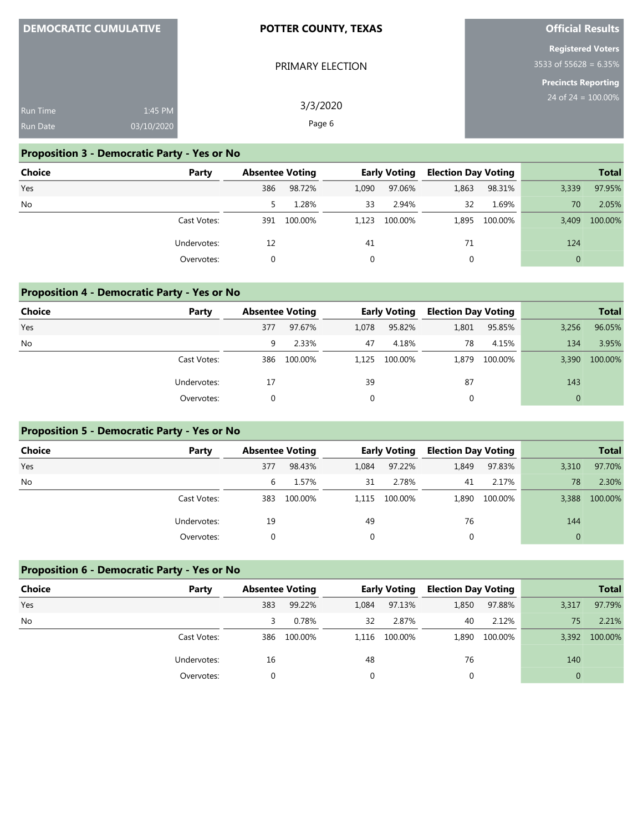| <b>DEMOCRATIC CUMULATIVE</b>       |                       | POTTER COUNTY, TEXAS | <b>Official Results</b>                             |
|------------------------------------|-----------------------|----------------------|-----------------------------------------------------|
|                                    |                       | PRIMARY ELECTION     | <b>Registered Voters</b><br>$3533$ of 55628 = 6.35% |
| <b>Run Time</b><br><b>Run Date</b> | 1:45 PM<br>03/10/2020 | 3/3/2020<br>Page 6   | <b>Precincts Reporting</b><br>24 of $24 = 100.00\%$ |

**Official Results**

## **Proposition 3 - Democratic Party - Yes or No**

**DEMOCRATIC CUMULATIVE**

| <b>Choice</b> | Party       | <b>Absentee Voting</b> |         |       | <b>Early Voting</b> | <b>Election Day Voting</b> |         |          | <b>Total</b> |
|---------------|-------------|------------------------|---------|-------|---------------------|----------------------------|---------|----------|--------------|
| Yes           |             | 386                    | 98.72%  | 1,090 | 97.06%              | 1,863                      | 98.31%  | 3,339    | 97.95%       |
| No            |             |                        | 1.28%   | 33    | 2.94%               | 32                         | 1.69%   | 70       | 2.05%        |
|               | Cast Votes: | 391                    | 100.00% | 1.123 | 100.00%             | 1,895                      | 100.00% | 3.409    | 100.00%      |
|               | Undervotes: | 12                     |         | 41    |                     | 71                         |         | 124      |              |
|               | Overvotes:  |                        |         |       |                     |                            |         | $\Omega$ |              |

## **Proposition 4 - Democratic Party - Yes or No**

| <b>Choice</b> | Party       | <b>Absentee Voting</b> |         |          | <b>Early Voting</b> | <b>Election Day Voting</b> |         |          | <b>Total</b> |
|---------------|-------------|------------------------|---------|----------|---------------------|----------------------------|---------|----------|--------------|
| Yes           |             | 377                    | 97.67%  | 1,078    | 95.82%              | 1,801                      | 95.85%  | 3,256    | 96.05%       |
| No            |             | 9                      | 2.33%   | 47       | 4.18%               | 78                         | 4.15%   | 134      | 3.95%        |
|               | Cast Votes: | 386                    | 100.00% | 1.125    | 100.00%             | 1.879                      | 100.00% | 3.390    | 100.00%      |
|               | Undervotes: | 17                     |         | 39       |                     | 87                         |         | 143      |              |
|               | Overvotes:  |                        |         | $\Omega$ |                     | 0                          |         | $\Omega$ |              |

## **Proposition 5 - Democratic Party - Yes or No**

| Choice    | Party       | <b>Absentee Voting</b> |         |          | <b>Early Voting</b> | <b>Election Day Voting</b> |               |              | <b>Total</b> |
|-----------|-------------|------------------------|---------|----------|---------------------|----------------------------|---------------|--------------|--------------|
| Yes       |             | 377                    | 98.43%  | 1,084    | 97.22%              | 1,849                      | 97.83%        | 3,310        | 97.70%       |
| <b>No</b> |             | 6                      | 1.57%   | 31       | 2.78%               | 41                         | 2.17%         | 78           | 2.30%        |
|           | Cast Votes: | 383                    | 100.00% | 1.115    | 100.00%             |                            | 1,890 100.00% | 3,388        | 100.00%      |
|           | Undervotes: | 19                     |         | 49       |                     | 76                         |               | 144          |              |
|           | Overvotes:  |                        |         | $\Omega$ |                     | 0                          |               | $\mathbf{0}$ |              |

# **Proposition 6 - Democratic Party - Yes or No**

| <b>Choice</b> | Party       |     | <b>Absentee Voting</b> |       | <b>Early Voting</b> |       | <b>Election Day Voting</b> |       | <b>Total</b> |
|---------------|-------------|-----|------------------------|-------|---------------------|-------|----------------------------|-------|--------------|
| Yes           |             | 383 | 99.22%                 | 1,084 | 97.13%              | 1,850 | 97.88%                     | 3,317 | 97.79%       |
| <b>No</b>     |             |     | 0.78%                  | 32    | 2.87%               | 40    | 2.12%                      | 75    | 2.21%        |
|               | Cast Votes: | 386 | 100.00%                | 1.116 | 100.00%             |       | 1,890 100.00%              | 3,392 | 100.00%      |
|               | Undervotes: | 16  |                        | 48    |                     | 76    |                            | 140   |              |
|               | Overvotes:  |     |                        |       |                     |       |                            |       |              |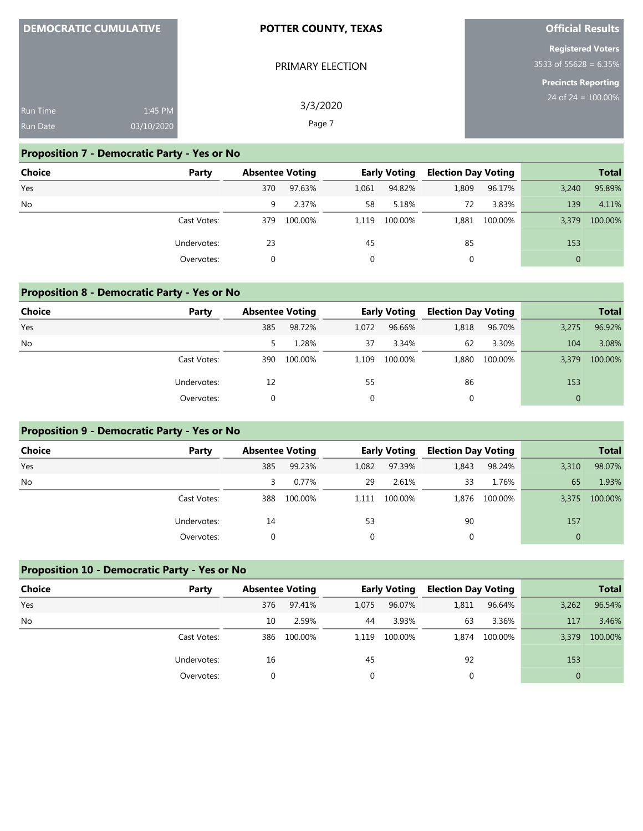|                 | <b>DEMOCRATIC CUMULATIVE</b> | <b>POTTER COUNTY, TEXAS</b> | <b>Official Results</b>  |
|-----------------|------------------------------|-----------------------------|--------------------------|
|                 |                              |                             | <b>Registered Voters</b> |
|                 |                              | PRIMARY ELECTION            | 3533 of 55628 = $6.35\%$ |
|                 |                              |                             | Precincts Reporting      |
| <b>Run Time</b> | 1:45 PM                      | 3/3/2020                    | 24 of $24 = 100.00\%$    |
| <b>Run Date</b> | 03/10/2020                   | Page 7                      |                          |

**POTTER COUNTY, TEXAS**

## **Proposition 7 - Democratic Party - Yes or No**

**DEMOCRATIC CULTURATION** 

| <b>Choice</b> | Party       | <b>Absentee Voting</b> |         |       | <b>Early Voting</b> | <b>Election Day Voting</b> |               |              | <b>Total</b> |
|---------------|-------------|------------------------|---------|-------|---------------------|----------------------------|---------------|--------------|--------------|
| Yes           |             | 370                    | 97.63%  | 1,061 | 94.82%              | 1,809                      | 96.17%        | 3,240        | 95.89%       |
| No            |             | 9                      | 2.37%   | 58    | 5.18%               | 72                         | 3.83%         | 139          | 4.11%        |
|               | Cast Votes: | 379                    | 100.00% | 1.119 | 100.00%             |                            | 1,881 100.00% | 3.379        | 100.00%      |
|               | Undervotes: | 23                     |         | 45    |                     | 85                         |               | 153          |              |
|               | Overvotes:  |                        |         |       |                     |                            |               | $\mathbf{0}$ |              |

#### **Proposition 8 - Democratic Party - Yes or No**

| <b>Choice</b> | Party       | <b>Absentee Voting</b> |         |          | <b>Early Voting</b> | <b>Election Day Voting</b> |         |          | <b>Total</b> |
|---------------|-------------|------------------------|---------|----------|---------------------|----------------------------|---------|----------|--------------|
| Yes           |             | 385                    | 98.72%  | 1,072    | 96.66%              | 1,818                      | 96.70%  | 3,275    | 96.92%       |
| No            |             |                        | 1.28%   | 37       | 3.34%               | 62                         | 3.30%   | 104      | 3.08%        |
|               | Cast Votes: | 390                    | 100.00% | 1.109    | 100.00%             | 1,880                      | 100.00% | 3,379    | 100.00%      |
|               | Undervotes: | 12                     |         | 55       |                     | 86                         |         | 153      |              |
|               | Overvotes:  |                        |         | $\Omega$ |                     | 0                          |         | $\Omega$ |              |

#### **Proposition 9 - Democratic Party - Yes or No**

| Choice    | Party       | <b>Absentee Voting</b> |         |          | <b>Early Voting</b> | <b>Election Day Voting</b> |               |              | <b>Total</b> |
|-----------|-------------|------------------------|---------|----------|---------------------|----------------------------|---------------|--------------|--------------|
| Yes       |             | 385                    | 99.23%  | 1,082    | 97.39%              | 1,843                      | 98.24%        | 3,310        | 98.07%       |
| <b>No</b> |             | 3                      | 0.77%   | 29       | 2.61%               | 33                         | 1.76%         | 65           | 1.93%        |
|           | Cast Votes: | 388                    | 100.00% | 1.111    | 100.00%             |                            | 1,876 100.00% | 3,375        | 100.00%      |
|           | Undervotes: | 14                     |         | 53       |                     | 90                         |               | 157          |              |
|           | Overvotes:  |                        |         | $\Omega$ |                     | 0                          |               | $\mathbf{0}$ |              |

# **Proposition 10 - Democratic Party - Yes or No Choice Party Absentee Voting Early Voting Election Day Voting Total** Yes 376 97.41% 1,075 96.07% 1,811 96.64% 3,262 96.54% No 10 2.59% 44 3.93% 63 3.36% 117 3.46% Cast Votes: 386 100.00% 1,119 100.00% 1,874 100.00% 3,379 100.00% Undervotes: 16 16 45 92 153 Overvotes: 0 0 0 0